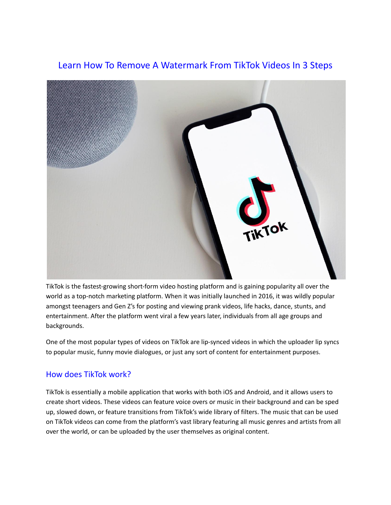# Learn How To Remove A Watermark From TikTok Videos In 3 Steps



TikTok is the fastest-growing short-form video hosting platform and is gaining popularity all over the world as a top-notch marketing platform. When it was initially launched in 2016, it was wildly popular amongst teenagers and Gen Z's for posting and viewing prank videos, life hacks, dance, stunts, and entertainment. After the platform went viral a few years later, individuals from all age groups and backgrounds.

One of the most popular types of videos on TikTok are lip-synced videos in which the uploader lip syncs to popular music, funny movie dialogues, or just any sort of content for entertainment purposes.

### How does TikTok work?

TikTok is essentially a mobile application that works with both iOS and Android, and it allows users to create short videos. These videos can feature voice overs or music in their background and can be sped up, slowed down, or feature transitions from TikTok's wide library of filters. The music that can be used on TikTok videos can come from the platform's vast library featuring all music genres and artists from all over the world, or can be uploaded by the user themselves as original content.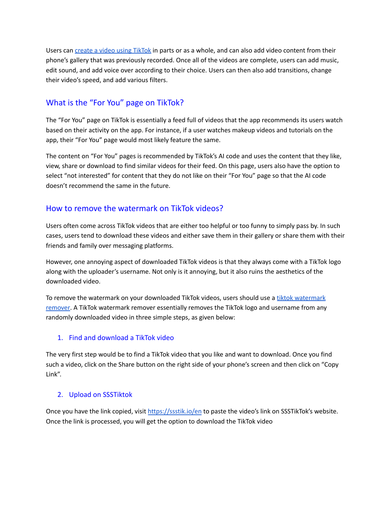Users can create a video using [TikTok](https://www.forbes.com/sites/johnhall/2022/04/17/tips-to-dominate-tiktok-pioneering-the-internets-new-way-of-marketing/?sh=59d2f4911bdd) in parts or as a whole, and can also add video content from their phone's gallery that was previously recorded. Once all of the videos are complete, users can add music, edit sound, and add voice over according to their choice. Users can then also add transitions, change their video's speed, and add various filters.

## What is the "For You" page on TikTok?

The "For You" page on TikTok is essentially a feed full of videos that the app recommends its users watch based on their activity on the app. For instance, if a user watches makeup videos and tutorials on the app, their "For You" page would most likely feature the same.

The content on "For You" pages is recommended by TikTok's AI code and uses the content that they like, view, share or download to find similar videos for their feed. On this page, users also have the option to select "not interested" for content that they do not like on their "For You" page so that the AI code doesn't recommend the same in the future.

## How to remove the watermark on TikTok videos?

Users often come across TikTok videos that are either too helpful or too funny to simply pass by. In such cases, users tend to download these videos and either save them in their gallery or share them with their friends and family over messaging platforms.

However, one annoying aspect of downloaded TikTok videos is that they always come with a TikTok logo along with the uploader's username. Not only is it annoying, but it also ruins the aesthetics of the downloaded video.

To remove the [watermark](https://ssstik.io/en) on your downloaded TikTok videos, users should use a tiktok watermark [remover.](https://ssstik.io/en) A TikTok watermark remover essentially removes the TikTok logo and username from any randomly downloaded video in three simple steps, as given below:

### 1. Find and download a TikTok video

The very first step would be to find a TikTok video that you like and want to download. Once you find such a video, click on the Share button on the right side of your phone's screen and then click on "Copy Link".

#### 2. Upload on SSSTiktok

Once you have the link copied, visit <https://ssstik.io/en> to paste the video's link on SSSTikTok's website. Once the link is processed, you will get the option to download the TikTok video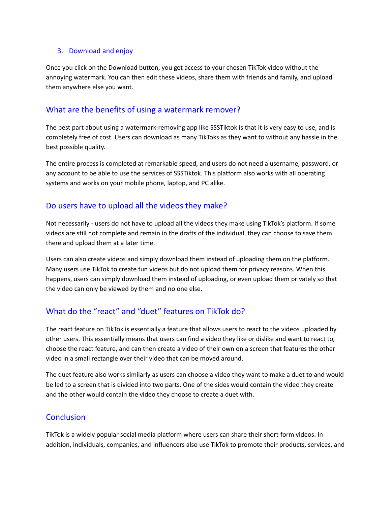#### 3. Download and enjoy

Once you click on the Download button, you get access to your chosen TikTok video without the annoying watermark. You can then edit these videos, share them with friends and family, and upload them anywhere else you want.

### What are the benefits of using a watermark remover?

The best part about using a watermark-removing app like SSSTiktok is that it is very easy to use, and is completely free of cost. Users can download as many TikToks as they want to without any hassle in the best possible quality.

The entire process is completed at remarkable speed, and users do not need a username, password, or any account to be able to use the services of SSSTiktok. This platform also works with all operating systems and works on your mobile phone, laptop, and PC alike.

### Do users have to upload all the videos they make?

Not necessarily - users do not have to upload all the videos they make using TikTok's platform. If some videos are still not complete and remain in the drafts of the individual, they can choose to save them there and upload them at a later time.

Users can also create videos and simply download them instead of uploading them on the platform. Many users use TikTok to create fun videos but do not upload them for privacy reasons. When this happens, users can simply download them instead of uploading, or even upload them privately so that the video can only be viewed by them and no one else.

# What do the "react" and "duet" features on TikTok do?

The react feature on TikTok is essentially a feature that allows users to react to the videos uploaded by other users. This essentially means that users can find a video they like or dislike and want to react to, choose the react feature, and can then create a video of their own on a screen that features the other video in a small rectangle over their video that can be moved around.

The duet feature also works similarly as users can choose a video they want to make a duet to and would be led to a screen that is divided into two parts. One of the sides would contain the video they create and the other would contain the video they choose to create a duet with.

### **Conclusion**

TikTok is a widely popular social media platform where users can share their short-form videos. In addition, individuals, companies, and influencers also use TikTok to promote their products, services, and